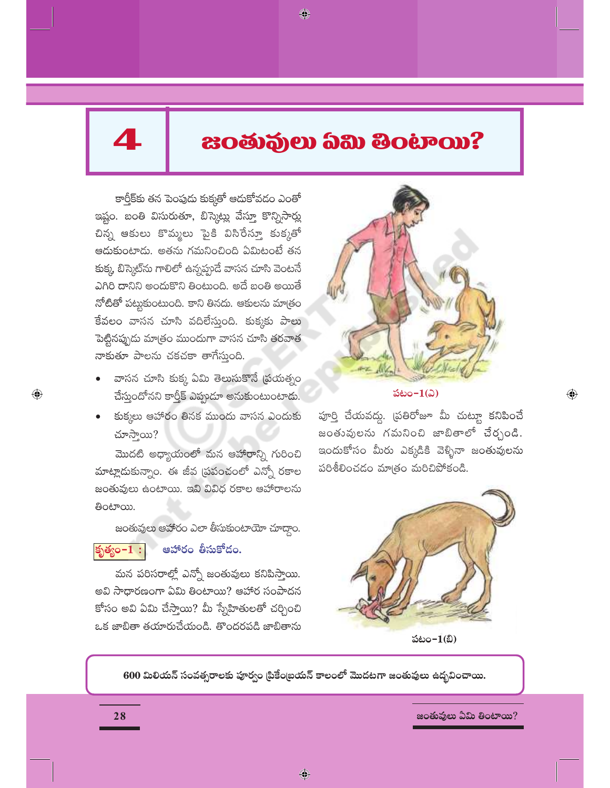# $\blacktriangle$

 $\bigoplus$ 

# **20 නිලධානය සිටින සිටින් 2000 කිරී සිටියි සිටියි සිටියි සිටියි සිටියි සිටියි සිටියි සිටියි සිටියි සිටියි සිටිය**

◈

కార్తీక్టకు తన పెంపుడు కుక్కతో ఆదుకోవడం ఎంతో ఇష్టం. బంతి విసురుతూ, బిస్కెట్లు వేస్తూ కొన్నిసార్లు చిన్న ఆకులు కొమ్మలు పైకి విసిరేస్తూ కుక్కతో ఆదుకుంటాదు. అతను గమనించింది ఏమిటంటే తన కుక్క బిస్కెట్ను గాలిలో ఉన్నప్పుడే వాసన చూసి వెంటనే ఎగిరి దానిని అందుకొని తింటుంది. అదే బంతి అయితే నోటితో పట్టుకుంటుంది. కాని తినదు. ఆకులను మాత్రం కేవలం వాసన చూసి వదిలేస్తుంది. కుక్కకు పాలు పెట్టినప్పుడు మాత్రం ముందుగా వాసన చూసి తరవాత నాకుతూ పాలను చకచకా తాగేస్తుంది.

- వాసన చూసి కుక్క ఏమి తెలుసుకొనే (పయత్నం చేస్తుందోనని కార్తీక్ ఎప్పుడూ అనుకుంటుంటాడు.
- కుక్కలు ఆహారం తినక ముందు వాసన ఎందుకు చూస్తాయి?

మొదటి అధ్యాయంలో మన ఆహారాన్ని గురించి మాట్లాదుకున్నాం. ఈ జీవ (పపంచంలో ఎన్నో రకాల జంతువులు ఉంటాయి. ఇవి వివిధ రకాల ఆహారాలను ತಿಂಟ್ಯ.

జంతువులు ఆహారం ఎలా తీసుకుంటాయో చూద్దాం.

#### ఆహారం తీసుకోదం. కృత్యం $-1:$

మన పరిసరాల్లో ఎన్నో జంతువులు కనిపిస్తాయి. అవి సాధారణంగా ఏమి తింటాయి? ఆహార సంపాదన కోసం అవి ఏమి చేస్తాయి? మీ స్నేహితులతో చర్చించి ఒక జాబితా తయారుచేయండి. తొందరపడి జాబితాను



పటం- $1(2)$ 

పూర్తి చేయవద్దు. (పతిరోజూ మీ చుట్యూ కనిపించే జంతువులను గమనించి జాబితాలో చేర్చండి. ఇందుకోసం మీరు ఎక్కడికి వెళ్ళినా జంతువులను పరిశీలించడం మాత్రం మరిచిపోకండి.

 $\bigoplus$ 



పటం $-1$ (బి)

600 మిలియన్ సంవత్సరాలకు పూర్వం [పికేం[బయన్ కాలంలో మొదటగా జంతువులు ఉద్భవించాయి.

 $\bigcirc$ 

జంతువులు ఏమి తింటాయి?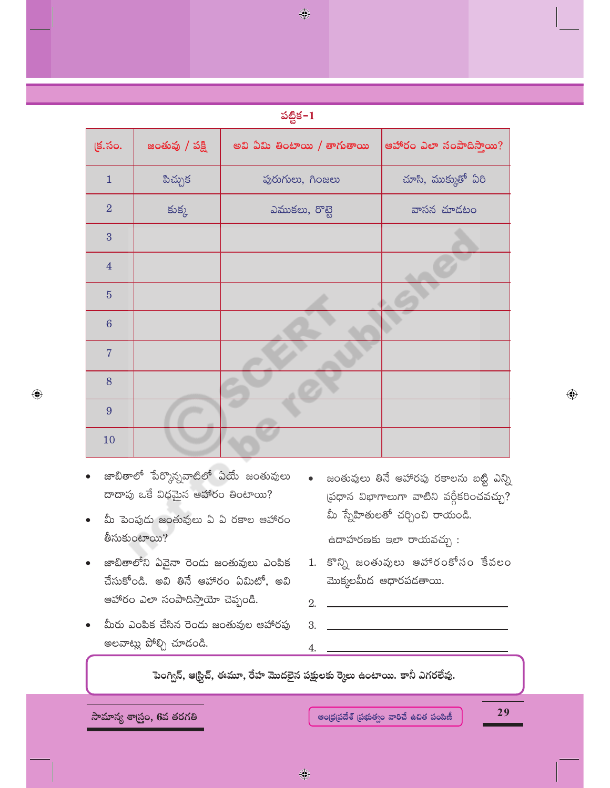| o ma<br>٠ |  |
|-----------|--|
|           |  |

◈

| క్ర.సం.          | జంతువు / పక్షి | అవి ఏమి తింటాయి / తాగుతాయి | ఆహారం ఎలా సంపాదిస్తాయి? |
|------------------|----------------|----------------------------|-------------------------|
| $\mathbf{1}$     | పిచ్చుక        | పురుగులు, గింజలు           | చూసి, ముక్కుతో ఏరి      |
| $\overline{2}$   | కుక్క          | ఎముకలు, రొబ్బె             | వాసన చూడటం              |
| 3                |                |                            |                         |
| $\overline{4}$   |                |                            |                         |
| $\overline{5}$   |                |                            |                         |
| $\boldsymbol{6}$ |                |                            |                         |
| $\overline{7}$   |                |                            |                         |
| 8                |                |                            |                         |
| 9                |                |                            |                         |
| 10               |                |                            |                         |

జాబితాలో పేర్కొన్నవాటిలో ఏయే జంతువులు దాదాపు ఒకే విధమైన ఆహారం తింటాయి?

 $\bigoplus$ 

- మీ పెంపుడు జంతువులు ఏ ఏ రకాల ఆహారం తీసుకుంటాయి?
- జాబితాలోని ఏవైనా రెండు జంతువులు ఎంపిక  $\bullet$ చేసుకోండి. అవి తినే ఆహారం ఏమిటో, అవి ఆహారం ఎలా సంపాదిస్తాయో చెప్పండి.
- మీరు ఎంపిక చేసిన రెండు జంతువుల ఆహారపు అలవాట్లు పోల్చి చూడండి.

జంతువులు తినే ఆహారపు రకాలను బట్టి ఎన్ని  $\bullet$  $\varphi$  బిఖాగాలుగా వాటిని వర్గీకరించవచ్చు? మీ స్నేహితులతో చర్చించి రాయండి.

ఉదాహరణకు ఇలా రాయవచ్చు:

- 1. కొన్ని జంతువులు ఆహారంకోసం కేవలం మొక్కలమీద ఆధారపడతాయి.
- పెంగ్విన్, ఆ(స్టిచ్, ఈమూ, రేహ మొదలైన పక్షులకు ర్మెలు ఉంటాయి. కానీ ఎగరలేవు.

సామాన్య శాస్ర్టం, 6వ తరగతి

29

 $\bigoplus$ 

 $\bigoplus$ 

2.

3.

4.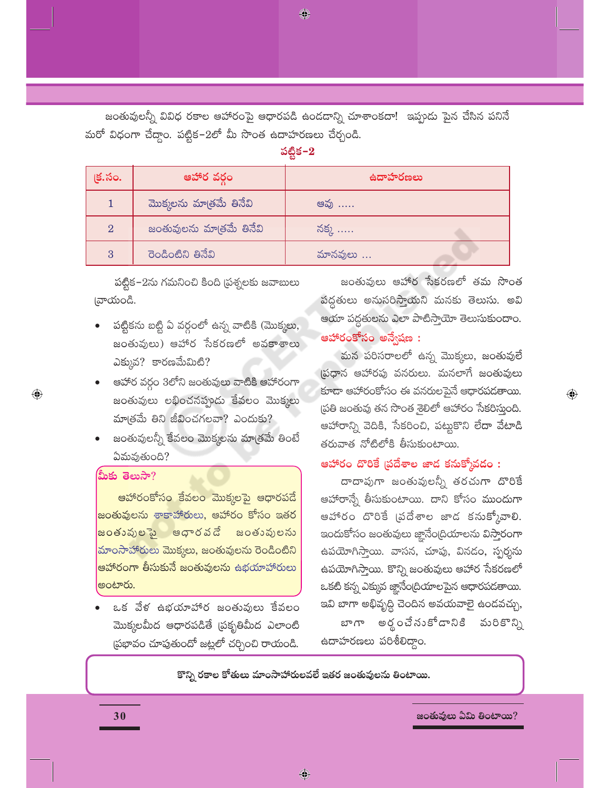జంతువులన్నీ వివిధ రకాల ఆహారంపై ఆధారపడి ఉండదాన్ని చూశాంకదా! ఇప్పుడు పైన చేసిన పనినే మరో విధంగా చేద్దాం. పట్టిక–2లో మీ సొంత ఉదాహరణలు చేర్చండి.

♦

పట్టిక- $2$ 

| క్ర.సం.        | ఆహార వర్గం               | ఉదాహరణలు |
|----------------|--------------------------|----------|
|                | మొక్కలను మాత్రమే తినేవి  | ఆవు      |
| $\overline{2}$ | జంతువులను మాత్రమే తినేవి | నక్క …   |
| 3              | రెండింటిని తినేవి        | మానవులు  |

పట్టిక-2ను గమనించి కింది (పశ్నలకు జవాబులు న్ాయండి.

- పట్టికను బట్టి ఏ వర్గంలో ఉన్న వాటికి (మొక్కలు, జంతువులు) ఆహార సేకరణలో అవకాశాలు  $\Delta$ క్కువ? కారణమేమిటి?
- ఆహార వర్గం 3లోని జంతువులు వాటికి ఆహారంగా జంతువులు లభించనప్పుడు కేవలం మొక్కలు మాత్రమే తిని జీవించగలవా? ఎందుకు?
- జంతువులన్నీ కేవలం మొక్కలను మాత్రమే తింటే ఏమవుతుంది?

# మీకు తెలుసా?

 $\bigoplus$ 

<mark>ఆహారంకోసం కేవలం మొక్కలపై ఆధారపడే</mark> <mark>జంతువులను శాకాహారులు, ఆహారం కోసం ఇతర</mark> <mark>జంతువులపై ఆధారవడే</mark> జంతువులను మాంసాహారులు మొక్కలు, జంతువులను రెండింటిని <mark>ఆహారంగా తీసుకునే జంతువులను ఉభయాహారులు</mark> అంటారు.

ఒక వేళ ఉభయాహార జంతువులు కేవలం మొక్కలమీద ఆధారపడితే (పకృతిమీద ఎలాంటి ప్రభావం చూపుతుందో జట్లలో చర్చించి రాయండి.

జంతువులు ఆహార సేకరణలో తమ సొంత పద్ధతులు అనుసరిస్తాయని మనకు తెలుసు. అవి ఆయా పద్ధతులను ఎలా పాటిస్తాయో తెలుసుకుందాం. ఆహారంకోసం అన్వేషణ :

మన పరిసరాలలో ఉన్న మొక్కలు, జంతువులే స్రధాన ఆహారపు వనరులు. మనలాగే జంతువులు కూడా ఆహారంకోసం ఈ వనరులపైనే ఆధారపడతాయి. (పతి జంతువు తన సొంత శైలిలో ఆహారం సేకరిస్తుంది. ఆహారాన్ని వెదికి, సేకరించి, పట్టుకొని లేదా వేటాడి తరువాత నోటిలోకి తీసుకుంటాయి.

 $\bigoplus$ 

# ఆహారం దొరికే (పదేశాల జాద కనుక్కోవడం :

దాదాపుగా జంతువులన్నీ తరచుగా దొరికే ఆహారాన్నే తీసుకుంటాయి. దాని కోసం ముందుగా ఆహారం దొరికే (పదేశాల జాడ కనుక్కోవాలి. ఇందుకోసం జంతువులు జ్ఞానేం(దియాలను విస్తారంగా ఉపయోగిస్తాయి. వాసన, చూపు, వినడం, స్పర్శను ఉపయోగిస్తాయి. కొన్ని జంతువులు ఆహార సేకరణలో ఒకటి కన్న ఎక్కువ జ్ఞానేంద్రియాలపైన ఆధారపడతాయి. ఇవి బాగా అభివృద్ధి చెందిన అవయవాలై ఉండవచ్చు,

అర్థంచేనుకోడానికి మరికొన్ని బాగా ఉదాహరణలు పరిశీలిద్దాం.

కొన్ని రకాల కోతులు మాంసాహారులవలే ఇతర జంతువులను తింటాయి.

♦

జంతువులు ఏమి తింటాయి?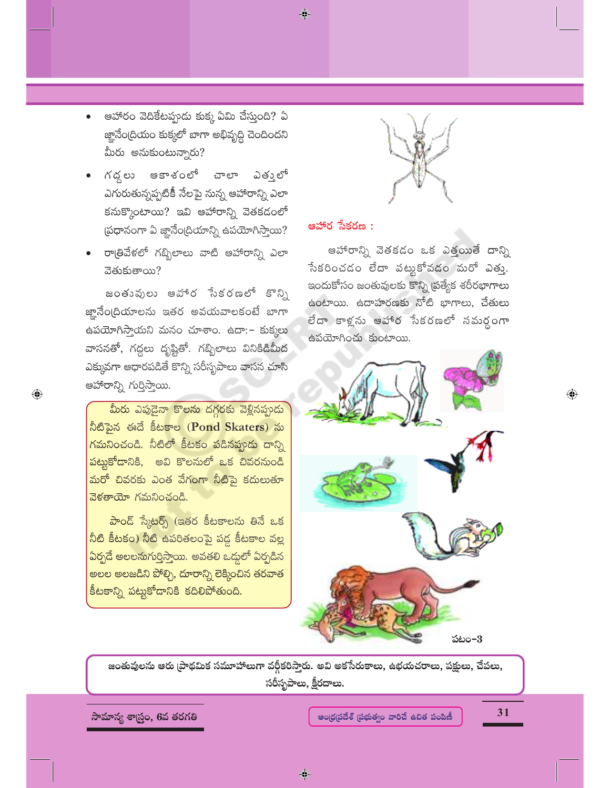ఆహారం వెదికేటప్పుడు కుక్క ఏమి చేస్తుంది? ఏ జ్ఞానేంద్రియం కుక్కలో బాగా అభివృద్ధి చెందిందని మీరు అనుకుంటున్నారు?

- ఆకాశంలో చాలా ఎతుౖలో గద్దలు ఎగురుతున్నప్పటికీ నేలపై సున్న ఆహారాన్ని ఎలా కనుక్కొంటాయి? ఇవి ఆహారాన్ని వెతకడంలో (పధానంగా ఏ జ్ఞానేం(దియాన్ని ఉపయోగిస్తాయి?
- రాత్రివేళలో గబ్బిలాలు వాటి ఆహారాన్ని ఎలా వెతుకుతాయి?

జంతువులు అహార సేకరణలో కొన్ని జ్హానేం(దియాలను ఇతర అవయవాలకంటే బాగా ఉపయోగిస్తాయని మనం చూశాం. ఉదా: – కుక్కలు వాసనతో, గద్దలు దృష్టితో. గబ్బిలాలు వినికిడిమీద ఎక్కువగా ఆధారపడితే కొన్ని సరీసృపాలు వాసన చూసి ఆహారాన్ని గుర్తిస్తాయి.

 $\bigoplus$ 

మీరు ఎపుడైనా కొలను దగ్గరకు వెళ్లినప్పుడు నీటిపైన ఈదే కీటకాల (Pond Skaters) ను <mark>గమనించండి. నీటిలో కీటకం పడినప్పుడు దాన్న</mark>ి పట్టకోదానికి, అవి కొలనులో ఒక చివరనుండి మరో చివరకు ఎంత వేగంగా నీటిపై కదులుతూ వెళతాయో గమనించండి.

పాండ్ స్కేటర్స్ (ఇతర కీటకాలను తినే ఒక <u>నీటి కీటకం) నీటి ఉపరితలంపై పడ్డ కీటకాల వల్ల</u> ఏర్పడే అలలనుగుర్తిస్తాయి. అవతలి ఒడ్డులో ఏర్పడిన అలల అలజడిని పోల్చి, దూరాన్ని లెక్కించిన తరవాత .<br>కీటకాన్ని పట్టుకోదానికి కదిలిపోతుంది.

# ఆహార సేకరణ :

♦

ఆహారాన్ని వెతకడం ఒక ఎత్తయితే దాన్ని సేకరించడం లేదా పట్టుకోవడం మరో ఎత్తు. ఇందుకోసం జంతువులకు కొన్ని [పత్యేక శరీరభాగాలు ఉంటాయి. ఉదాహరణకు నోటి భాగాలు, చేతులు లేదా కాళ్లను ఆహార సేకరణలో సమర్ధంగా ఉపయోగించు కుంటాయి.



జంతువులను ఆరు (పాథమిక సమూహాలుగా వర్గీకరిస్తారు. అవి అకసేరుకాలు, ఉభయచరాలు, పక్షులు, చేపలు, సరీసృపాలు, క్షీరదాలు.

సామాన్య శాస్ర్టం, 6వ తరగతి

ఆంధ్రప్రదేశ్ ప్రభుత్వం వారిచే ఉచిత పంపిణీ

31

 $\textcolor{black}{\textcolor{black}{\bigoplus}}$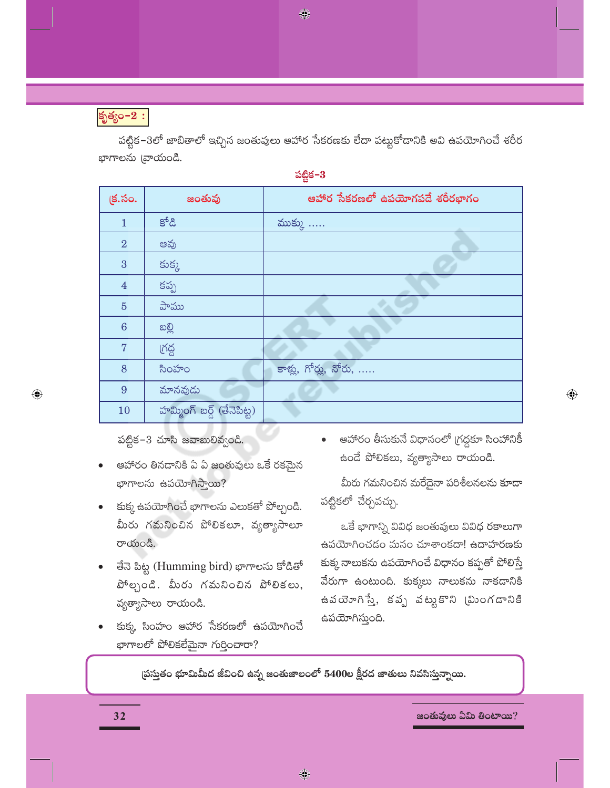♦

కృత్యం-2 :

 $\bigoplus$ 

పట్టిక–3లో జాబితాలో ఇచ్చిన జంతువులు ఆహార సేకరణకు లేదా పట్టుకోడానికి అవి ఉపయోగించే శరీర భాగాలను [వాయండి.

**ప**టిక–3

|                 |                            | ఴ                              |
|-----------------|----------------------------|--------------------------------|
| క్ర.సం.         | జంతువు                     | ఆహార సేకరణలో ఉపయోగపడే శరీరభాగం |
| $\mathbf{1}$    | కోడి                       | ముక్కు                         |
| $\overline{2}$  | ఆవు                        |                                |
| 3               | కుక్క                      |                                |
| $\overline{4}$  | కప్ప                       |                                |
| $\overline{5}$  | పాము                       |                                |
| $6\phantom{1}6$ | ဆစ္တိ                      |                                |
| 7               | ౹గద్ద                      |                                |
| 8               | సింహం                      | కాళ్లు, గోర్లు, నోరు,          |
| 9               | మానవుడు                    |                                |
| 10              | హమ్మింగ్ బర్గ్ (తేనెపిట్ట) |                                |

 $\omega$ బ్లిక-3 చూసి జవాబులివ్వండి.

- ఆహారం తినదానికి ఏ ఏ జంతువులు ఒకే రకమైన  $p$ က္ပ္တော့ အသက္ႀကား $\Omega$
- కుక్క ఉపయోగించే భాగాలను ఎలుకతో పోల్చండి. మీరు గమనించిన పోలికలూ, వ్యత్యాసాలూ  $\sigma$ యండి.
- తేనె పిట్ట (Humming bird) భాగాలను కోడితో  $\partial^4$ ల్చండి. మీరు గమనించిన పోలికలు, వ్యత్యాసాలు రాయండి.
- కుక్క సింహం ఆహార సేకరణలో ఉపయోగించే ಭಾಗಾಲಲ್ ವ್ ಲಿತ್ ಫೆಸಾ ಗುರಿಂಪಾರ್?

ఆహారం తీసుకునే విధానంలో (గద్దకూ సింహానికీ ఉండే పోలికలు, వ్యత్యాసాలు రాయండి.

 $\bigoplus$ 

మీరు గమనించిన మరేదైనా పరిశీలనలను కూడా పట్టికలో చేర్చవచ్చు.

ఒకే భాగాన్ని వివిధ జంతువులు వివిధ రకాలుగా ఉపయోగించడం మనం చూశాంకదా! ఉదాహరణకు కుక్క నాలుకను ఉపయోగించే విధానం కప్పతో పోలిస్తే వేరుగా ఉంటుంది. కుక్కలు నాలుకను నాకడానికి ఉపయోగిస్తే, కవృ వట్టకొని (మింగడానికి ఉపయోగిస్తుంది.

స్తుప్తుతం భూమిమీద జీవించి ఉన్న జంతుజాలంలో 5400ల క్షీరద జాతులు నివసిస్తున్నాయి.

**32 !"#\$%&'\$()\*\$(+!,-.\$\$/**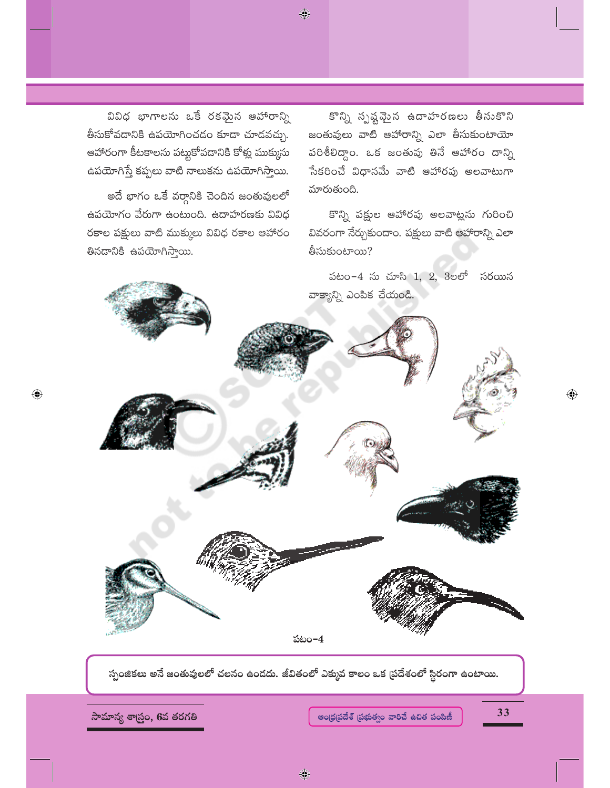వివిధ భాగాలను ఒకే రకమైన ఆహారాన్ని తీసుకోవదానికి ఉపయోగించడం కూడా చూడవచ్చు. ఆహారంగా కీటకాలను పట్టుకోవడానికి కోళ్లు ముక్కును ఉపయోగిస్తే కప్పలు వాటి నాలుకను ఉపయోగిస్తాయి.

అదే భాగం ఒకే వర్గానికి చెందిన జంతువులలో ఉపయోగం వేరుగా ఉంటుంది. ఉదాహరణకు వివిధ రకాల పక్షులు వాటి ముక్కులు వివిధ రకాల ఆహారం తినడానికి ఉపయోగిస్తాయి.

కొన్ని స్పష్టవైన ఉదాహరణలు తీసుకొని జంతువులు వాటి ఆహారాన్ని ఎలా తీసుకుంటాయో పరిశీలిద్దాం. ఒక జంతువు తినే ఆహారం దాన్ని సేకరించే విధానమే వాటి ఆహారపు అలవాటుగా మారుతుంది.

కొన్ని పక్షుల ఆహారపు అలవాట్లను గురించి వివరంగా నేర్చుకుందాం. పక్షులు వాటి ఆహారాన్ని ఎలా తీసుకుంటాయి?

పటం-4 ను చూసి 1, 2, 3లలో సరయిన వాక్యాన్ని ఎంపిక చేయండి.



♦

సామాన్య శాస్త్రం, 6వ తరగతి

 $\bigoplus$ 

ఆంధ్రప్రదేశ్ (పభుత్వం వారిచే ఉచిత పంపిణీ

33

 $\hat{\mathbb{Q}}$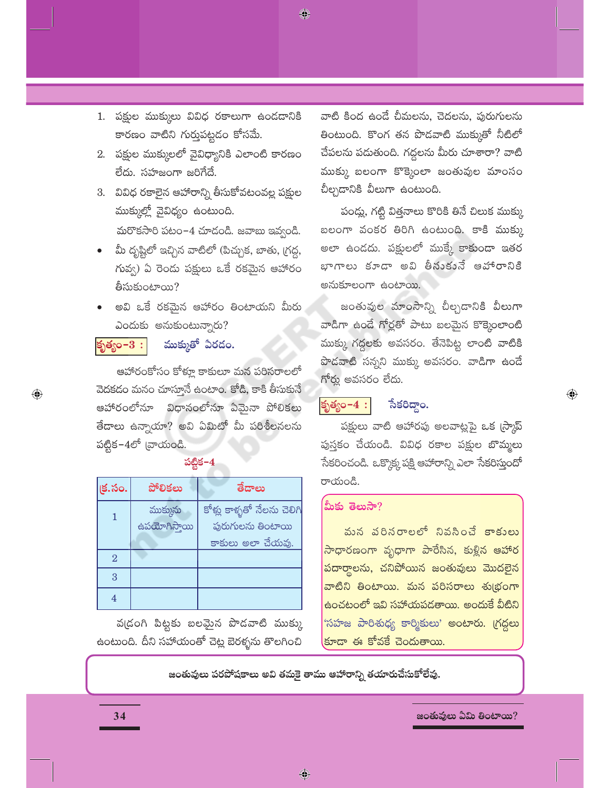1. పక్షుల ముక్కులు వివిధ రకాలుగా ఉండడానికి కారణం వాటిని గుర్తుపట్టడం కోసమే.

♦

- 2. పక్షుల ముక్కులలో వైవిధ్యానికి ఎలాంటి కారణం లేదు. సహజంగా జరిగేదే.
- 3. వివిధ రకాలైన ఆహారాన్ని తీసుకోవటంవల్ల పక్షుల ముక్కుల్లో వైవిధ్యం ఉంటుంది.

మరొకసారి పటం-4 చూడండి. జవాబు ఇవ్వండి.

- మీ దృష్టిలో ఇచ్చిన వాటిలో (పిచ్చుక, బాతు, గ్రద్ధ, గువ్వ) ఏ రెండు పక్షులు ఒకే రకమైన ఆహారం తీసుకుంటాయి?
- అవి ఒకే రకమైన ఆహారం తింటాయని మీరు ఎందుకు అనుకుంటున్నారు?

#### ముక్కుతో ఏరడం. కృత్యం $-3:$

 $\bigoplus$ 

ఆహారంకోసం కోళ్లూ కాకులూ మన పరిసరాలలో వెదకడం మనం చూస్తూనే ఉంటాం. కోడి, కాకి తీసుకునే ఆహారంలోనూ విధానంలోనూ ఏమైనా పోలికలు తేదాలు ఉన్నాయా? అవి ఏమిటో మీ పరిశీలనలను పట్టిక−4లో  $\omega$ యండి.

# పట్టిక $-4$

| (క.సం.         | పోలికలు                  | తేదాలు                                                                              |
|----------------|--------------------------|-------------------------------------------------------------------------------------|
|                | ముక్కును<br>ఉపయోగిస్తాయి | కోళ్లు కాళ్ళతో నేలను చెలిగ <mark>ి</mark><br>ఫురుగులను తింటాయి<br>కాకులు అలా చేయవు. |
| $\overline{2}$ |                          |                                                                                     |
| 3              |                          |                                                                                     |
|                |                          |                                                                                     |

వ(డంగి పిట్టకు బలమైన పొడవాటి ముక్కు ఉంటుంది. దీని సహాయంతో చెట్ల బెరళ్ళను తొలగించి

వాటి కింద ఉండే చీమలను, చెదలను, పురుగులను తింటుంది. కొంగ తన పొడవాటి ముక్కుతో నీటిలో చేపలను పడుతుంది. గద్దలను మీరు చూశారా? వాటి ముక్కు బలంగా కొక్కెంలా జంతువుల మాంసం బీల్చడానికి వీలుగా ఉంటుంది.

పండ్లు, గట్టి విత్తనాలు కొరికి తినే చిలుక ముక్కు బలంగా వంకర తిరిగి ఉంటుంది. కాకి ముక్కు అలా ఉండదు. పక్షులలో ముక్కే కాకుండా ఇతర భాగాలు కూడా అవి తీసుకునే ఆహారానికి అనుకూలంగా ఉంటాయి.

జంతువుల మాంసాన్ని చీల్చడానికి వీలుగా వాడిగా ఉండే గోర్లతో పాటు బలమైన కొక్కెంలాంటి ముక్కు గద్దలకు అవసరం. తేనెపిట్ట లాంటి వాటికి పొడవాటి సన్నని ముక్కు అవసరం. వాడిగా ఉండే గోర్తు అవసరం లేదు.

 $\bigoplus$ 

# కృత్యం $-4:$

# సేకరిద్దాం.

పక్షులు వాటి ఆహారపు అలవాట్లపై ఒక (స్కాప్ పుస్తకం చేయండి. వివిధ రకాల పక్షుల బొమ్మలు సేకరించండి. ఒక్కొక్కపపక్షి ఆహారాన్ని ఎలా సేకరిస్తుందో రాయండి.

# మీకు తెలుసా?

మన పరినరాలలో నివసించే కాకులు <mark>సాధారణంగా వృధాగా పారేసిన, కుళ్లిన ఆహార</mark> <mark>పదార్థాలను, చనిపోయిన జంతువులు మొదలైన</mark> వాటిని తింటాయి. మన పరిసరాలు శుభ్రంగా <u>ఉంచటంలో ఇవి సహాయపడతాయి. అందుకే వీటిని</u> 'సహజ పారిశుధ్య కార్మికులు' అంటారు. (గద్దలు (కూదా ఈ కోవకే చెందుతాయి.

జంతువులు పరపోషకాలు అవి తమకై తాము ఆహారాన్ని తయారుచేసుకోలేవు.

 $\bigcirc$ 

### జంతువులు ఏమి తింటాయి?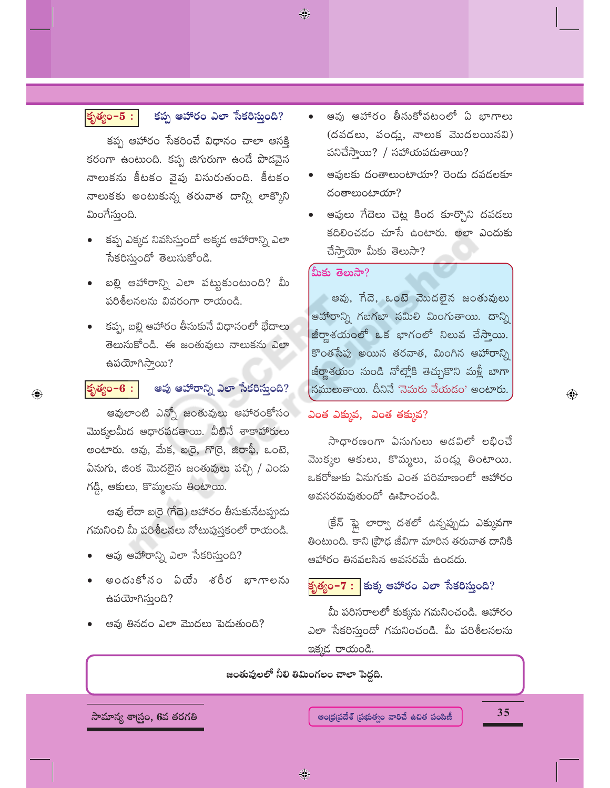# కృత్యం $-5:$

 $\bigoplus$ 

కప్ప ఆహారం ఎలా సేకరిస్తుంది?

కప్ప ఆహారం సేకరించే విధానం చాలా ఆసక్తి కరంగా ఉంటుంది. కప్ప జిగురుగా ఉండే పొడవైన నాలుకను కీటకం వైపు విసురుతుంది. కీటకం నాలుకకు అంటుకున్న తరువాత దాన్ని లాక్కొని మింగేస్తుంది.

- కప్ప ఎక్కడ నివసిస్తుందో అక్కడ ఆహారాన్ని ఎలా సేకరిస్తుందో తెలుసుకోండి.
- బల్లి ఆహారాన్ని ఎలా పట్టుకుంటుంది? మీ పరిశీలనలను వివరంగా రాయండి.
- కప్ప, బల్లి ఆహారం తీసుకునే విధానంలో భేదాలు తెలుసుకోండి. ఈ జంతువులు నాలుకను ఎలా ఉపయోగిస్తాయి?

#### ఆవు ఆహారాన్ని ఎలా సేకరిస్తుంది? కృత్యం- $6:$

ఆవులాంటి ఎన్నో జంతువులు ఆహారంకోసం మొక్కలమీద ఆధారపడతాయి. వీటినే శాకాహారులు అంటారు. ఆవు, మేక, బరై, గొర్రె, జిరాఫీ, ఒంటె, ఏనుగు, జింక మొదలైన జంతువులు పచ్చి / ఎందు గడ్డి, ఆకులు, కొమ్మలను తింటాయి.

ఆవు లేదా బర్రె (గేదె) ఆహారం తీసుకునేటప్పుడు గమనించి మీ పరిశీలనలు నోటుపుస్తకంలో రాయండి.

- ఆవు ఆహారాన్ని ఎలా సేకరిస్తుంది?
- అందుకోనం ఏయే శరీర భాగాలను ఉపయోగిస్తుంది?
- ఆవు తినడం ఎలా మొదలు పెడుతుంది?
- ఆవు ఆహారం తీసుకోవటంలో ఏ భాగాలు (దవడలు, పండ్లు, నాలుక మొదలయినవి) పనిచేస్తాయి? / సహాయపడుతాయి?
- ఆవులకు దంతాలుంటాయా? రెండు దవడలకూ దంతాలుంటాయా?
- ఆవులు గేదెలు చెట్ల కింద కూర్చొని దవడలు కదిలించడం చూసే ఉంటారు. అలా ఎందుకు చేసాయో మీకు తెలుసా?

### మీకు తెలుసా?

◈

ఆవు, గేదె, ఒంటె మొదలైన జంతువులు ఆహారాన్ని గబగబా నమిలి మింగుతాయి. దాన్ని జీర్ణాశయంలో ఒక భాగంలో నిలువ చేస్తాయి. కొంతసేపు అయిన తరవాత, మింగిన ఆహారాన్ని జీర్ణాశయం నుండి నోట్లోకి తెచ్చుకొని మళ్లీ బాగా నములుతాయి. దీనినే 'నెమరు వేయడం' అంటారు.

# ఎంత ఎక్కువ, ఎంత తక్కువ?

సాధారణంగా ఏనుగులు అడవిలో లభించే మొక్కల ఆకులు, కొమ్మలు, పండ్లు తింటాయి. ఒకరోజుకు ఏనుగుకు ఎంత పరిమాణంలో ఆహారం అవసరమవుతుందో ఊహించండి.

క్రేన్ ఫ్లై లార్వా దశలో ఉన్నప్పుడు ఎక్కువగా తింటుంది. కాని [పౌఢ జీవిగా మారిన తరువాత దానికి ఆహారం తినవలసిన అవసరమే ఉండదు.

# కృత్యం−7 : |కుక్క ఆహారం ఎలా సేకరిస్తుంది?

మీ పరిసరాలలో కుక్కను గమనించండి. ఆహారం ఎలా సేకరిస్తుందో గమనించండి. మీ పరిశీలనలను ఇక్కడ రాయండి.

జంతువులలో నీలి తిమింగలం చాలా పెద్దది.

సామాన్య శాస్త్రం, 6వ తరగతి

35

 $\textcolor{black}{\textcolor{black}{\bigoplus}}$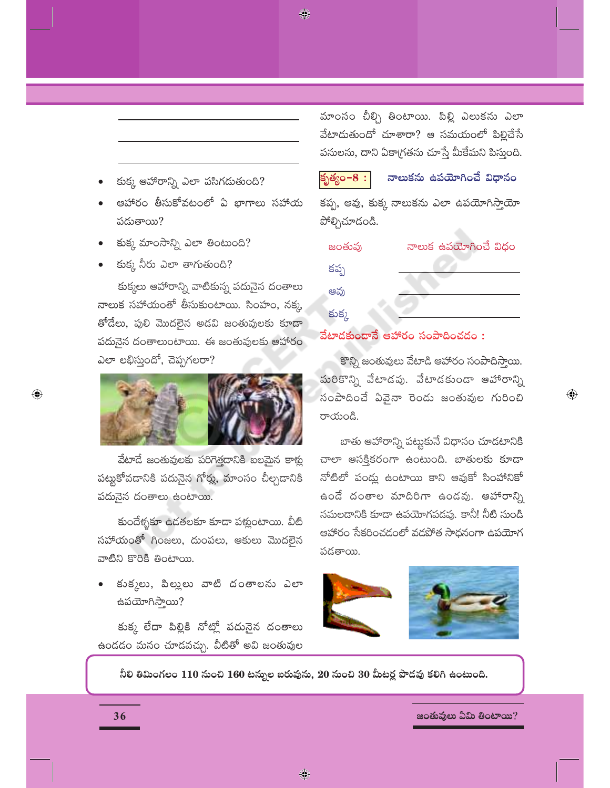◈

- కుక్క ఆహారాన్ని ఎలా పసిగదుతుంది?
- ఆహారం తీసుకోవటంలో ఏ భాగాలు సహాయ పడుతాయి?
- కుక్క మాంసాన్ని ఎలా తింటుంది?
- కుక్క నీరు ఎలా తాగుతుంది?

కుక్కలు ఆహారాన్ని వాటికున్న పదునైన దంతాలు నాలుక సహాయంతో తీసుకుంటాయి. సింహం, నక్క తోదేలు, పులి మొదలైన అడవి జంతువులకు కూడా పదునైన దంతాలుంటాయి. ఈ జంతువులకు ఆహారం ఎలా లభిస్తుందో, చెప్పగలరా?



వేటాడే జంతువులకు పరిగెత్తదానికి బలమైన కాళ్లు పట్టుకోవడానికి పదునైన గోర్లు, మాంసం చీల్చడానికి పదునైన దంతాలు ఉంటాయి.

కుందేళ్ళకూ ఉడతలకూ కూడా పట్లంటాయి. వీటి సహాయంతో గింజలు, దుంపలు, ఆకులు మొదలైన వాటిని కొరికి తింటాయి.

కుక్కలు, పిల్లులు వాటి దంతాలను ఎలా ఉపయోగిస్తాయి?

కుక్క లేదా పిల్లికి నోట్లో పదునైన దంతాలు ఉండడం మనం చూడవచ్చు. వీటితో అవి జంతువుల మాంసం చీల్చి తింటాయి. పిల్లి ఎలుకను ఎలా వేటాదుతుందో చూశారా? ఆ సమయంలో పిల్లిచేసే పనులను, దాని ఏకా(గతను చూస్తే మీకేమని పిస్తుంది.

కృత్యం $-8:$ 

# నాలుకను ఉపయోగించే విధానం

కప్ప, ఆవు, కుక్క నాలుకను ఎలా ఉపయోగిస్తాయో పోల్చిచూదండి.

| జంతువు | నాలుక ఉపయోగించే విధం |
|--------|----------------------|
| కప్ప   |                      |
| ఆవు    |                      |
| కుక్క  |                      |

# వేటాదకుందానే ఆహారం సంపాదించడం :

కొన్ని జంతువులు వేటాడి ఆహారం సంపాదిస్తాయి. మరికొన్ని వేటాడవు. వేటాడకుండా ఆహారాన్ని సంపాదించే ఏవైనా రెండు జంతువుల గురించి రాయండి.

 $\bigoplus$ 

బాతు ఆహారాన్ని పట్టుకునే విధానం చూడటానికి చాలా ఆసక్తికరంగా ఉంటుంది. బాతులకు కూడా నోటిలో పండ్లు ఉంటాయి కాని ఆవుకో సింహానికో ఉండే దంతాల మాదిరిగా ఉండవు. ఆహారాన్ని నమలదానికి కూడా ఉపయోగపడవు. కానీ! నీటి నుండి ఆహారం సేకరించడంలో వడపోత సాధనంగా ఉపయోగ పదతాయి.



నీలి తిమింగలం 110 నుంచి 160 టస్నుల బరువును, 20 నుంచి 30 మీటర్ల పొడవు కలిగి ఉంటుంది.

జంతువులు ఏమి తింటాయి?

 $\bigoplus$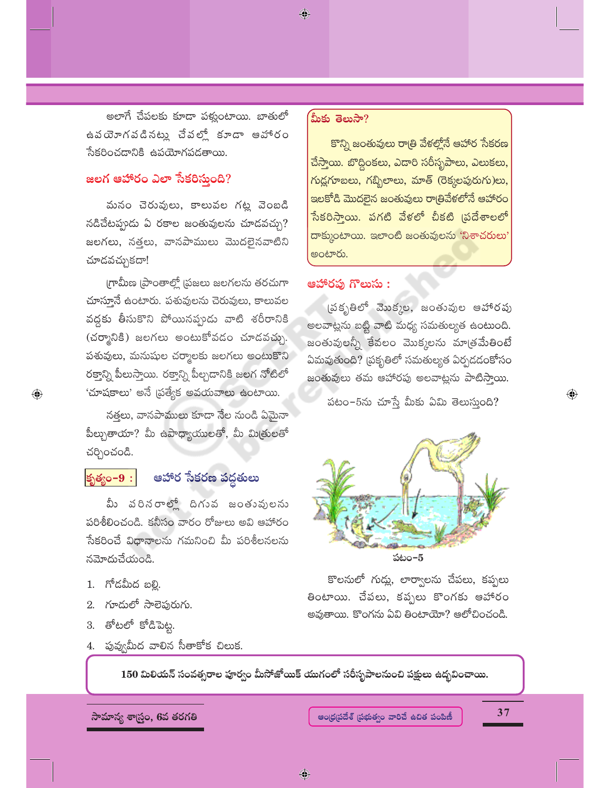అలాగే చేపలకు కూడా పళ్లుంటాయి. బాతులో ఉపయోగపడినట్లు చేపల్లో కూడా ఆహారం సేకరించదానికి ఉపయోగపడతాయి.

# జలగ ఆహారం ఎలా సేకరిస్తుంది?

మనం చెరువులు, కాలువల గట్ల వెంబడి నడిచేటప్పుడు ఏ రకాల జంతువులను చూడవచ్చు? జలగలు, నత్తలు, వానపాములు మొదలైనవాటిని చూదవచ్చుకదా!

గ్రామీణ [పాంతాల్లో [పజలు జలగలను తరచుగా చూస్తూనే ఉంటారు. పశువులను చెరువులు, కాలువల వద్దకు తీసుకొని పోయినప్పుడు వాటి శరీరానికి (చర్మానికి) జలగలు అంటుకోవడం చూడవచ్చు. పశువులు, మనుషుల చర్మాలకు జలగలు అంటుకొని రక్తాన్ని పీలుస్తాయి. రక్తాన్ని పీల్చడానికి జలగ నోటిలో 'చూషకాలు' అనే (పత్యేక అవయవాలు ఉంటాయి.

నత్తలు, వానపాములు కూడా నేల నుండి ఏమైనా పీల్చుతాయా? మీ ఉపాధ్యాయులతో, మీ మిత్రులతో చర్చించండి.

# కృత్యం-9:

 $\bigoplus$ 

# ఆహార సేకరణ పద్ధతులు

మీ వరినరాల్లో దిగువ జంతువులను పరిశీలించండి. కనీసం వారం రోజులు అవి ఆహారం సేకరించే విధానాలను గమనించి మీ పరిశీలనలను నమోదుచేయండి.

- 1. గోడమీద బల్లి.
- 2. గూదులో సాలెపురుగు.
- 3. తోటలో కోడిపెట్ట.
- 4. పువ్వమీద వాలిన సీతాకోక చిలుక.

## మీకు తెలుసా?

◈

కొన్ని జంతువులు రాత్రి వేళల్లోనే ఆహార సేకరణ చేస్తాయి. బొద్దింకలు, ఎదారి సరీసృపాలు, ఎలుకలు, గుద్దగూబలు, గబ్బిలాలు, మాత్ (రెక్కలపురుగు)లు, ఇలకోడి మొదలైన జంతువులు రాత్రివేళలోనే ఆహారం సేకరిస్తాయి. పగటి వేళలో చీకటి (పదేశాలలో దాక్కుంటాయి. ఇలాంటి జంతువులను 'నిశాచరులు' అంటారు.

# ఆహారపు గొలుసు :

(పకృతిలో మొక్కల, జంతువుల ఆహారపు అలవాట్లను బట్టి వాటి మధ్య సమతుల్యత ఉంటుంది. జంతువులన్నీ కేవలం మొక్కలను మాత్రమేతింటే ఏమవుతుంది? (పకృతిలో సమతుల్యత ఏర్పడడంకోసం జంతువులు తమ ఆహారపు అలవాట్లను పాటిస్తాయి.

పటం–5ను చూస్తే మీకు ఏమి తెలుస్తుంది?



కొలనులో గుడ్లు, లార్వాలను చేపలు, కప్పలు తింటాయి. చేపలు, కప్పలు కొంగకు ఆహారం అవుతాయి. కొంగను ఏవి తింటాయో? ఆలోచించండి.

150 మిలియన్ సంవత్సరాల పూర్వం మీసోజోయిక్ యుగంలో సరీసృపాలనుంచి పక్షులు ఉద్భవించాయి.

సామాన్య శాస్ర్టం, 6వ తరగతి

ఆంధ్రపదేశ్ (పభుత్వం వారిచే ఉచిత పంపిణీ

 $37$ 

 $\bigoplus$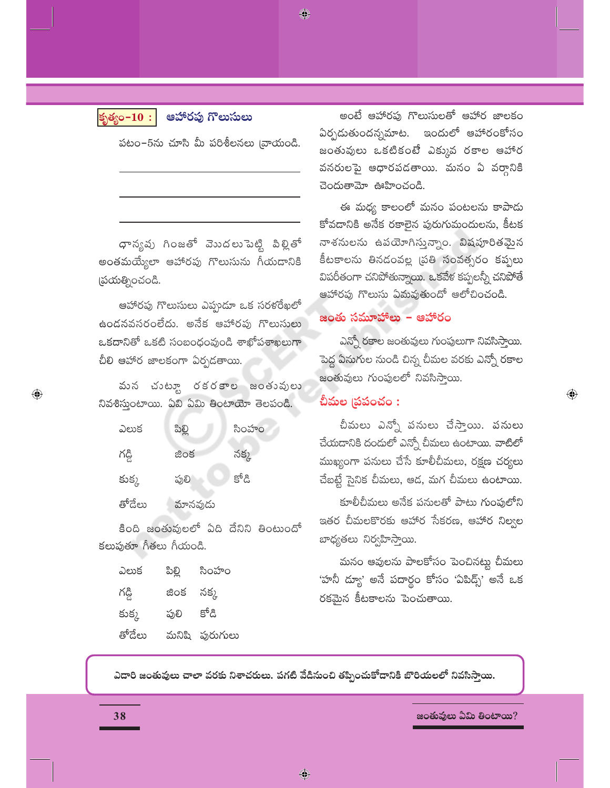కృత్యం $-10:$ 

ఆహారపు గొలుసులు

◈

పటం–5ను చూసి మీ పరిశీలనలు (వాయండి.

ధాన్యపు గింజతో వెుుదలుపెట్టి పిల్లితో అంతమయ్యేలా ఆహారపు గొలుసును గీయడానికి [పయత్నించండి.

ఆహారపు గొలుసులు ఎప్పుడూ ఒక సరళరేఖలో ఉండనవసరంలేదు. అనేక ఆహారపు గొలుసులు ఒకదానితో ఒకటి సంబంధంవుండి శాఖోపశాఖలుగా చీలి ఆహార జాలకంగా ఏర్పడతాయి.

వున చుటూ రకరకాల జంతువులు నివశిస్తుంటాయి. ఏవి ఏమి తింటాయో తెలపండి.

| ఎలుక   | ಪಿಲ್ಲಿ  | సింహం  |
|--------|---------|--------|
| గడ్డి  | జింక    | నక్క   |
| కుక్క  | పులి    | క్టోడి |
| తోదేలు | మానవుడు |        |

కింది జంతువులలో ఏది దేనిని తింటుందో కలుపుతూ గీతలు గీయండి.

| ఎలుక   | పిల్లి | సింహం          |
|--------|--------|----------------|
| గడ్డి  | జింక   | నక్క           |
| కుక్క  | ఫులి   | కోడి           |
| తోదేలు |        | మనిషి పురుగులు |

అంటే ఆహారఫు గొలుసులతో ఆహార జాలకం ఏర్పడుతుందన్నమాట. ఇందులో ఆహారంకోసం జంతువులు ఒకటికంటే ఎక్కువ రకాల ఆహార వనరులపై ఆధారపడతాయి. మనం ఏ వర్గానికి చెందుతామో ఊహించండి.

ఈ మధ్య కాలంలో మనం పంటలను కాపాడు కోవడానికి అనేక రకాలైన పురుగుమందులను, కీటక నాశసులను ఉపయోగిస్తున్నాం. విషపూరితమైన కీటకాలను తినడంవల్ల (పతి సంవత్సరం కప్పలు విపరీతంగా చనిపోతున్నాయి. ఒకవేళ కప్పలన్నీ చనిపోతే ఆహారపు గొలుసు ఏమవుతుందో ఆలోచించండి.

# జంతు సమూహాలు – ఆహారం

ఎన్నో రకాల జంతువులు గుంపులుగా నివసిసాయి. పెద్ద ఏనుగుల నుండి చిన్న చీమల వరకు ఎన్నో రకాల జంతువులు గుంపులలో నివసిస్తాయి.

 $\bigoplus$ 

# చీమల (పపంచం :

చీమలు ఎన్నో పనులు చేస్తాయి. పనులు చేయదానికి దందులో ఎన్నో చీమలు ఉంటాయి. వాటిలో ముఖ్యంగా పనులు చేసే కూలీచీమలు, రక్షణ చర్యలు చేబట్టే సైనిక చీమలు, ఆడ, మగ చీమలు ఉంటాయి.

కూలీచీమలు అనేక పనులతో పాటు గుంఫులోని ఇతర చీమలకొరకు ఆహార సేకరణ, ఆహార నిల్వల బాధ్యతలు నిర్వహిస్తాయి.

మనం ఆవులను పాలకోసం పెంచినట్లు చీమలు 'హనీ ద్యూ' అనే పదార్థం కోసం 'ఏపిద్స్' అనే ఒక రకమైన కీటకాలను పెంచుతాయి.

ఎదారి జంతువులు చాలా వరకు నిశాచరులు. పగటి వేడినుంచి తప్పించుకోదానికి బొరియలలో నివసిస్తాయి.

 $\bigcirc$ 

జంతువులు ఏమి తింటాయి?

 $\textcolor{black}{\textcircled{\ell}}$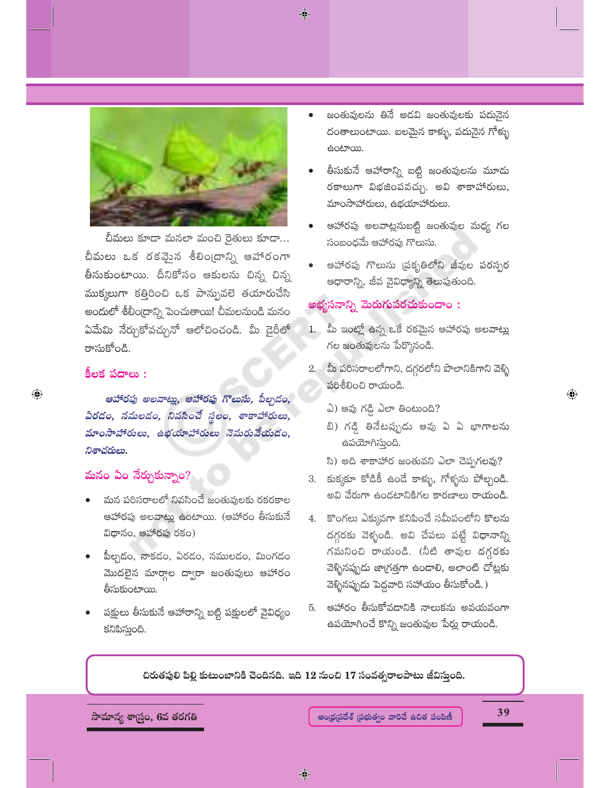$\bigcirc$ 



చీమలు కూడా మనలా మంచి రైతులు కూడా... చీమలు ఒక రకవైంన శీలిం(దాన్ని ఆహారంగా తీసుకుంటాయి. దీనికోసం ఆకులను చిన్న చిన్న ముక్కలుగా కత్తిరించి ఒక పాన్పువలె తయారుచేసి అందులో శీలీం[దాన్ని పెంచుతాయి! చీమలనుండి మనం ఏమేమి నేర్చుకోవచ్చునో ఆలోచించండి. మీ డైరీలో రాసుకోండి.

# కీలక పదాలు :

 $\bigoplus$ 

ఆహారపు అలవాట్లు, ఆహారపు గొలుసు, పీల్చడం, ఏరడం, నమలడం, నివసించే స్థలం, శాకాహారులు, మాంసాహారులు, ఉభయాహారులు నెమరువేయడం, నిశాచరులు.

# మనం ఏం నేర్చుకున్నాం?

- మన పరిసరాలలో నివసించే జంతువులకు రకరకాల ఆహారపు అలవాట్లు ఉంటాయి. (ఆహారం తీసుకునే విధానం, ఆహారపు రకం)
- పీల్చడం, నాకడం, ఏరడం, నములడం, మింగడం మొదలైన మార్గాల ద్వారా జంతువులు ఆహారం తీసుకుంటాయి.
- పక్షులు తీసుకునే ఆహారాన్ని బట్టి పక్షులలో వైవిధ్యం కనిపిస్తుంది.
- జంతువులను తినే అడవి జంతువులకు పదునైన దంతాలుంటాయి. బలమైన కాళ్ళు, పదునైన గోళ్ళు ఉంటాయి.
- తీసుకునే ఆహారాన్ని బట్టి జంతువులను మూడు రకాలుగా విభజింపవచ్చు. అవి శాకాహారులు, మాంసాహారులు, ఉభయాహారులు.
- ఆహారపు అలవాట్లనుబట్టి జంతువుల మధ్య గల సంబంధమే ఆహారపు గొలుసు.
- ఆహారపు గొలుసు (పకృతిలోని జీవుల పరస్పర ఆధారాన్ని, జీవ వైవిధ్యాన్ని తెలుపుతుంది.

## అభ్యసనాన్ని మెరుగుపరచుకుందాం :

- 1. మీ ఇంట్లో ఉన్న ఒకే రకమైన ఆహారపు అలవాట్లు గల జంతువులను పేర్కొనండి.
- 2. మీ పరిసరాలలోగాని, దగ్గరలోని పొలానికిగాని వెళ్ళి పరిశీలించి రాయండి.
	- ఎ) ఆవు గడ్డి ఎలా తింటుంది?
	- బి) గడ్డి తినేటప్పుడు ఆవు ఏ ఏ భాగాలను ఉపయోగిస్తుంది.
	- సి) అది శాకాహార జంతువని ఎలా చెప్పగలవు?
- 3. కుక్కకూ కోడికీ ఉండే కాళ్ళు, గోళ్ళను పోల్చండి. అవి వేరుగా ఉండటానికిగల కారణాలు రాయండి.
- 4. కొంగలు ఎక్కువగా కనిపించే సమీపంలోని కొలను దగ్గరకు వెళ్ళండి. అవి చేపలు పట్టే విధానాన్ని గమనించి రాయండి. (నీటి తావుల దగ్గరకు వెళ్ళినప్పుడు జాగ్రత్తగా ఉండాలి, అలాంటి చోట్లకు వెళ్ళినప్పుడు పెద్దవారి సహాయం తీసుకోండి.)
- 5. ఆహారం తీసుకోవడానికి నాలుకను అవయవంగా ఉపయోగించే కొన్ని జంతువుల పేర్లు రాయండి.

చిరుతపులి పిల్లి కుటుంబానికి చెందినది. ఇది 12 నుంచి 17 సంవత్సరాలపాటు జీవిస్తుంది.

సామాన్య శాస్త్రం, 6వ తరగతి

39

 $\bigoplus$